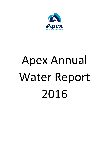

# Apex Annual Water Report 2016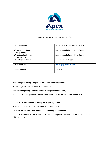

# DRINKING WATER SYSTEM ANNUAL REPORT

| <b>Reporting Period:</b>                       | January 1, 2016 – December 31, 2016 |
|------------------------------------------------|-------------------------------------|
| Water System Name:<br>(Facility Name)          | Apex Mountain Resort Water System   |
| <b>Water Supplier Name:</b><br>(as per permit) | Apex Mountain Resort Water System   |
| Water System Owner:                            | <b>Apex Mountain Resort</b>         |
| <b>Email Address:</b>                          | shawn@apexresort.com                |
| Phone Number:                                  | 250 292-8222                        |

# **Bacteriological Testing Completed During This Reporting Period:**

Bacteriological Results attached to this report -Yes

# **Immediate Reporting Standard Failure (E. coli positive test result)**

Immediate Reporting Standard Failure (IRSF) recorded - No positive E. coli test in 2016.

# **Chemical Testing Completed During This Reporting Period:**

Most recent chemical analysis attached to this report  $-$  No

# **Chemical Parameters Measured Above (exceeding) the Guidelines:**

Chemical parameters tested exceed the Maximum Acceptable Concentrations (MAC) or Aesthetic Objectives – No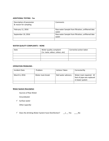## **ADDITIONAL TESTING** - **Yes**

| Description of parameter<br>& reason for sampling | Comments                                                   |
|---------------------------------------------------|------------------------------------------------------------|
| February 11, 2016                                 | Raw water Sample from filtration, unfiltered lake<br>water |
| September 19, 2016                                | Raw water Sample from filtration, unfiltered lake<br>water |
|                                                   |                                                            |

# **WATER QUALITY COMPLAINTS – NONE**

| Date | Water quality complaint          | Corrective action taken |
|------|----------------------------------|-------------------------|
|      | (i.e. taste, odour, colour, etc) |                         |
|      |                                  |                         |
|      |                                  |                         |
|      |                                  |                         |

# **OPERATION PROBLEMS -**

| Incident Date | Problem          | <b>Actions Taken</b> | Corrected By                                                            |
|---------------|------------------|----------------------|-------------------------------------------------------------------------|
| March 6, 2016 | Water main break | Boil water advisory  | Water main repaired. 10<br>feet of pipe was replaced<br>in lower system |
|               |                  |                      |                                                                         |

# **Water System Description**

Sources of Raw Water

Groundwater

 $\checkmark$  Surface water

Other (specify)

 $\checkmark$  Does the drinking Water System have Disinfection? \_\_x \_\_ Yes \_\_\_\_No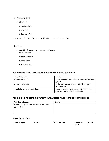## **Disinfection Methods**

- $\checkmark$  Chlorination
	- Ultraviolet light
	- **Ozonation**
	- Other (specify)

Does the drinking Water System have Filtration  $x_2 - x_3 = 0$  No

## **Filter Type**

- $\checkmark$  Cartridge filter (1 micron, 5 micron, 10 micron)
- $\checkmark$  Sand Filtration

Reverse Osmosis

Carbon Filter

Other (specify)

## **MAJOR EXPENSES INCURRED DURING THE PERIOD COVERED BY THE REPORT**

| <b>Major Expenses</b>           | <b>Details</b>                                 |
|---------------------------------|------------------------------------------------|
| Water main repair               | Replacement of cracked water main on the lower |
|                                 | system                                         |
| Water Valve repair              | At the intersection of Whitetail Rd and Apex   |
|                                 | Mountain Rd                                    |
| Installed two sampling stations | One was installed at the end of Cahill Rd. the |
|                                 | other was installed at Clearview Rd            |

# ADDITIONS / CHANGES TO THE SYSTEM THAT HAVE BEEN MADE FOR THIS REPORTING PERIOD

| Additions/Changes                                             | Details |
|---------------------------------------------------------------|---------|
| Shawn Whitty received his Level 2 Filtration<br>certification |         |
|                                                               |         |
|                                                               |         |

#### **Water Samples 2014**

| Date Sampled | Location | <b>Chlorine Free</b> | <b>Coliforms</b> | E.Coli |
|--------------|----------|----------------------|------------------|--------|
|              |          |                      | Total            |        |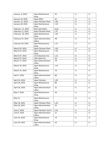| January 6, 2016   | Apex Maintenance<br>Shop             | .91  | <1       | <1       |
|-------------------|--------------------------------------|------|----------|----------|
| January 10, 2016  | Apex Office                          | .61  | <1       | <1       |
| January 21, 2016  | <b>Apex Filtration Plant</b>         | 1.09 | <1       | <1       |
| January 28, 2016  | <b>Apex Maintenance</b><br>Shop      | 1.10 | <1       | <1       |
| February 11, 2016 | Raw Lake Water                       | none | <1       | <1       |
| February 11, 2016 | <b>Apex Filtration Plant</b>         | 1.37 | <1       | <1       |
| February 18, 2016 | <b>Apex Maintenance</b><br>Shop      | 1.20 | <1       | <1       |
| February 25, 2016 | <b>Apex Administration</b><br>Office | .48  | <1       | $\leq 1$ |
| February 29, 2016 | Apex Maintenance<br>Shop             | 1.12 | <1       | <1       |
| March 03, 2016    | <b>Apex Filtration Plant</b>         | 1.03 | <1       | <1       |
| March 07, 2016    | Apex Maintenance<br>Shop             | 1.43 | <1       | <1       |
| March 07, 2016    | 123 Clearview Cres                   | 1.21 | <1       | <1       |
| March 07, 2016    | 104 Cahill Cres                      | .43  | <1       | <1       |
| March 17, 2016    | <b>Apex Administration</b><br>office | .79  | <1       | <1       |
| March 24, 2016    | Apex Maintenance<br>Shop             | 1.14 | <1       | <1       |
| March 31, 2016    | Apex Maintenance<br>Shop             | .70  | <1       | <1       |
| April 7, 2016     | <b>Apex Administration</b><br>office | .80  | <1       | <1       |
| April 14, 2016    | <b>Apex Filtration</b>               | 1.05 | <1       | <1       |
| April 18, 2016    | Apex Maintenance<br>Shop             | .86  | <1       | <1       |
| April 26, 2016    | <b>Apex Administration</b><br>office | .32  | <1       | ${<}1$   |
| May 7, 2016       | Apex Maintenance<br>Shop             | .44  | $\leq 1$ | $\leq 1$ |
| May 12            | <b>Apex Maintenance</b><br>Shop      |      | <1       | <1       |
| May 18, 2016      | <b>Apex Filtration Plant</b>         | 1.25 | ${<}1$   | $\leq 1$ |
| May 26, 2016      | <b>Apex Administration</b><br>office | .25  | <1       | <1       |
| June 2, 2016      | <b>Apex Filtration Tank 4</b>        | 1.61 | <1       | <1       |
| June 9, 2016      | <b>Apex Administration</b><br>Office | .21  | <1       | $\leq 1$ |
| June 16, 2016     | <b>Apex Maintenance</b><br>Shop      | .74  | ${<}1$   | $\leq 1$ |
| June 20, 2016     | <b>Apex Administration</b><br>office | .43  | $<1\,$   | ${<}1$   |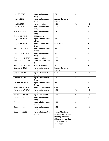| June 28, 2016      | <b>Apex Maintenance</b><br>Shop      | .64                                                                                                                    | <1       | <1       |
|--------------------|--------------------------------------|------------------------------------------------------------------------------------------------------------------------|----------|----------|
| July 14, 2016      | <b>Apex Maintenance</b><br>Shop      | Sample did not arrive<br>in time                                                                                       |          |          |
| July 21, 2016      | <b>Apex Filtration</b>               | 1.15                                                                                                                   | <1       | <1       |
| July 26, 2016      | Apex Maintenance<br>Shop             | 1.05                                                                                                                   | <1       | <1       |
| August 2, 2016     | <b>Apex Maintenance</b><br>Shop      | .64                                                                                                                    | <1       | <1       |
| August 11, 2016    | Did not arrive in time               |                                                                                                                        |          |          |
| August 17, 2016    | <b>Apex Administration</b><br>office | .21                                                                                                                    | <1       | <1       |
| August 22, 2016    | Apex Maintenance<br>Shop             | unavailable                                                                                                            | <1       | <1       |
| September 1, 2016  | Apex Administration<br>Office        | .21                                                                                                                    | <1       | <1       |
| September8, 2016   | Apex Maintenance<br>Shop             | .72                                                                                                                    | <1       | <1       |
| September 12, 2016 | <b>Apex Filtration</b>               | 1.32                                                                                                                   | <1       | <1       |
| September 19, 2016 | <b>Apex Filtration Tank</b><br>#4    | 3.22                                                                                                                   | <1       | <1       |
| September 19, 2016 | Raw Lake Water                       | N/A                                                                                                                    | <1       | <1       |
| October 6, 2016    | <b>Apex Maintenance</b><br>Shop      | Sample did not arrive<br>in time                                                                                       |          |          |
| October 13, 2016   | <b>Apex Administration</b><br>Office | 0.03                                                                                                                   | <1       | <1       |
| October 20, 2016   | Apex Maintenance<br>Shop             | .54                                                                                                                    | <1       | <1       |
| October 26, 2016   | <b>Apex Administration</b><br>Office | .11                                                                                                                    | <1       | <1       |
| November 3, 2016   | <b>Apex Filtration Plant</b>         | 0.99                                                                                                                   | <1       | <1       |
| November 17, 2016  | <b>Apex Maintenance</b><br>Shop      | 1.42                                                                                                                   | <1       | <1       |
| November 24, 2016  | <b>Apex Filtration Plant</b>         | 1.32                                                                                                                   | <1       | <1       |
| December 9, 2016   | Apex Maintenance<br>Shop             | 1.56                                                                                                                   | $\leq$ 1 | $\leq$ 1 |
| December 15, 2016  | <b>Apex Administration</b><br>Office | 1.11                                                                                                                   | <1       | <1       |
| December 21, 2016  | Apex Maintenance<br>Shop             | 1.45                                                                                                                   | <1       | $\leq 1$ |
| December, 2016     | <b>Apex Administration</b><br>Office | Due to Christmas<br>holidays closure and<br>shipping schedule<br>shipping not possible<br>for last week of<br>December |          |          |